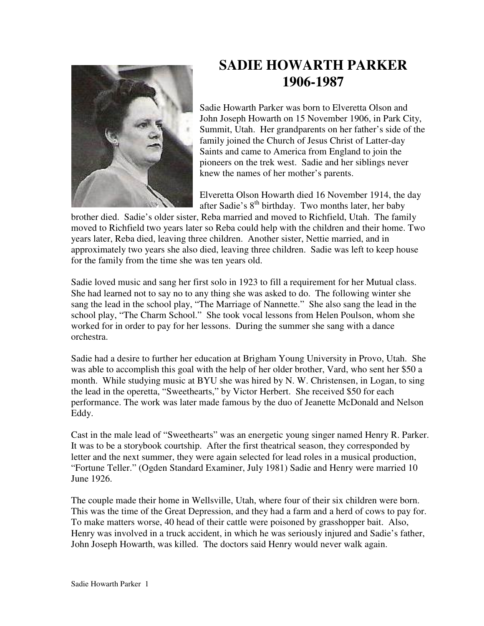

## **SADIE HOWARTH PARKER 1906-1987**

Sadie Howarth Parker was born to Elveretta Olson and John Joseph Howarth on 15 November 1906, in Park City, Summit, Utah. Her grandparents on her father's side of the family joined the Church of Jesus Christ of Latter-day Saints and came to America from England to join the pioneers on the trek west. Sadie and her siblings never knew the names of her mother's parents.

Elveretta Olson Howarth died 16 November 1914, the day after Sadie's  $8<sup>th</sup>$  birthday. Two months later, her baby

brother died. Sadie's older sister, Reba married and moved to Richfield, Utah. The family moved to Richfield two years later so Reba could help with the children and their home. Two years later, Reba died, leaving three children. Another sister, Nettie married, and in approximately two years she also died, leaving three children. Sadie was left to keep house for the family from the time she was ten years old.

Sadie loved music and sang her first solo in 1923 to fill a requirement for her Mutual class. She had learned not to say no to any thing she was asked to do. The following winter she sang the lead in the school play, "The Marriage of Nannette." She also sang the lead in the school play, "The Charm School." She took vocal lessons from Helen Poulson, whom she worked for in order to pay for her lessons. During the summer she sang with a dance orchestra.

Sadie had a desire to further her education at Brigham Young University in Provo, Utah. She was able to accomplish this goal with the help of her older brother, Vard, who sent her \$50 a month. While studying music at BYU she was hired by N. W. Christensen, in Logan, to sing the lead in the operetta, "Sweethearts," by Victor Herbert. She received \$50 for each performance. The work was later made famous by the duo of Jeanette McDonald and Nelson Eddy.

Cast in the male lead of "Sweethearts" was an energetic young singer named Henry R. Parker. It was to be a storybook courtship. After the first theatrical season, they corresponded by letter and the next summer, they were again selected for lead roles in a musical production, "Fortune Teller." (Ogden Standard Examiner, July 1981) Sadie and Henry were married 10 June 1926.

The couple made their home in Wellsville, Utah, where four of their six children were born. This was the time of the Great Depression, and they had a farm and a herd of cows to pay for. To make matters worse, 40 head of their cattle were poisoned by grasshopper bait. Also, Henry was involved in a truck accident, in which he was seriously injured and Sadie's father, John Joseph Howarth, was killed. The doctors said Henry would never walk again.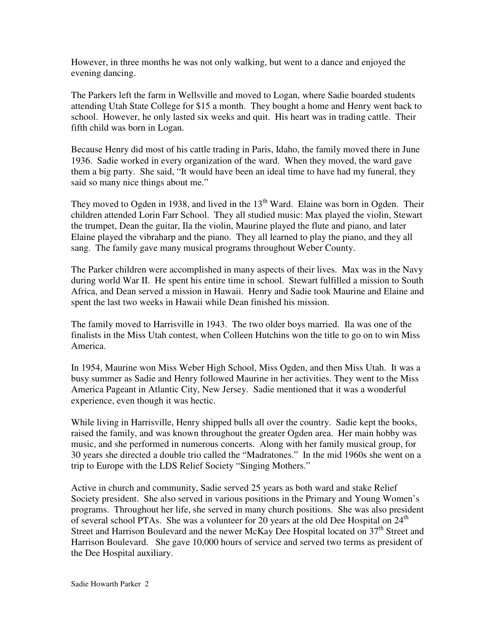However, in three months he was not only walking, but went to a dance and enjoyed the evening dancing.

The Parkers left the farm in Wellsville and moved to Logan, where Sadie boarded students attending Utah State College for \$15 a month. They bought a home and Henry went back to school. However, he only lasted six weeks and quit. His heart was in trading cattle. Their fifth child was born in Logan.

Because Henry did most of his cattle trading in Paris, Idaho, the family moved there in June 1936. Sadie worked in every organization of the ward. When they moved, the ward gave them a big party. She said, "It would have been an ideal time to have had my funeral, they said so many nice things about me."

They moved to Ogden in 1938, and lived in the  $13<sup>th</sup>$  Ward. Elaine was born in Ogden. Their children attended Lorin Farr School. They all studied music: Max played the violin, Stewart the trumpet, Dean the guitar, Ila the violin, Maurine played the flute and piano, and later Elaine played the vibraharp and the piano. They all learned to play the piano, and they all sang. The family gave many musical programs throughout Weber County.

The Parker children were accomplished in many aspects of their lives. Max was in the Navy during world War II. He spent his entire time in school. Stewart fulfilled a mission to South Africa, and Dean served a mission in Hawaii. Henry and Sadie took Maurine and Elaine and spent the last two weeks in Hawaii while Dean finished his mission.

The family moved to Harrisville in 1943. The two older boys married. Ila was one of the finalists in the Miss Utah contest, when Colleen Hutchins won the title to go on to win Miss America.

In 1954, Maurine won Miss Weber High School, Miss Ogden, and then Miss Utah. It was a busy summer as Sadie and Henry followed Maurine in her activities. They went to the Miss America Pageant in Atlantic City, New Jersey. Sadie mentioned that it was a wonderful experience, even though it was hectic.

While living in Harrisville, Henry shipped bulls all over the country. Sadie kept the books, raised the family, and was known throughout the greater Ogden area. Her main hobby was music, and she performed in numerous concerts. Along with her family musical group, for 30 years she directed a double trio called the "Madratones." In the mid 1960s she went on a trip to Europe with the LDS Relief Society "Singing Mothers."

Active in church and community, Sadie served 25 years as both ward and stake Relief Society president. She also served in various positions in the Primary and Young Women's programs. Throughout her life, she served in many church positions. She was also president of several school PTAs. She was a volunteer for 20 years at the old Dee Hospital on  $24<sup>th</sup>$ Street and Harrison Boulevard and the newer McKay Dee Hospital located on 37<sup>th</sup> Street and Harrison Boulevard. She gave 10,000 hours of service and served two terms as president of the Dee Hospital auxiliary.